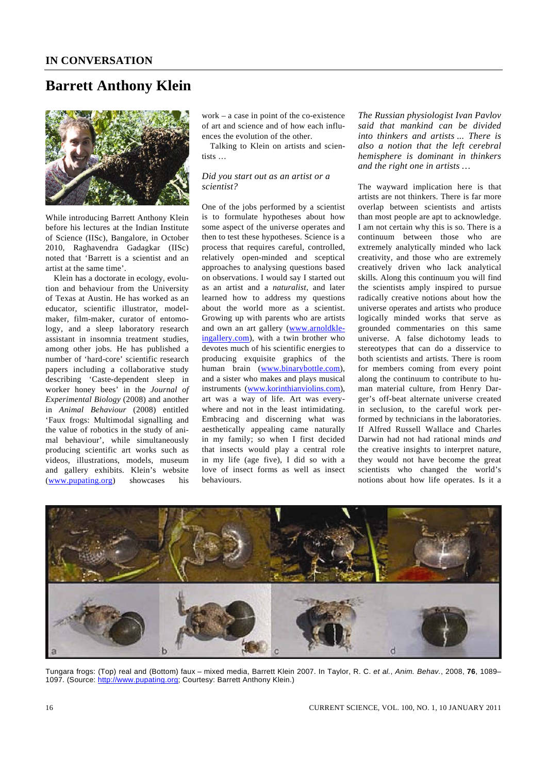# **Barrett Anthony Klein**



While introducing Barrett Anthony Klein before his lectures at the Indian Institute of Science (IISc), Bangalore, in October 2010, Raghavendra Gadagkar (IISc) noted that 'Barrett is a scientist and an artist at the same time'.

 Klein has a doctorate in ecology, evolution and behaviour from the University of Texas at Austin. He has worked as an educator, scientific illustrator, modelmaker, film-maker, curator of entomology, and a sleep laboratory research assistant in insomnia treatment studies, among other jobs. He has published a number of 'hard-core' scientific research papers including a collaborative study describing 'Caste-dependent sleep in worker honey bees' in the *Journal of Experimental Biology* (2008) and another in *Animal Behaviour* (2008) entitled 'Faux frogs: Multimodal signalling and the value of robotics in the study of animal behaviour', while simultaneously producing scientific art works such as videos, illustrations, models, museum and gallery exhibits. Klein's website (www.pupating.org) showcases his

work – a case in point of the co-existence of art and science and of how each influences the evolution of the other.

 Talking to Klein on artists and scientists …

### *Did you start out as an artist or a scientist?*

One of the jobs performed by a scientist is to formulate hypotheses about how some aspect of the universe operates and then to test these hypotheses. Science is a process that requires careful, controlled, relatively open-minded and sceptical approaches to analysing questions based on observations. I would say I started out as an artist and a *naturalist*, and later learned how to address my questions about the world more as a scientist. Growing up with parents who are artists and own an art gallery (www.arnoldkleingallery.com), with a twin brother who devotes much of his scientific energies to producing exquisite graphics of the human brain (www.binarybottle.com), and a sister who makes and plays musical instruments (www.korinthianviolins.com), art was a way of life. Art was everywhere and not in the least intimidating. Embracing and discerning what was aesthetically appealing came naturally in my family; so when I first decided that insects would play a central role in my life (age five), I did so with a love of insect forms as well as insect behaviours.

*The Russian physiologist Ivan Pavlov said that mankind can be divided into thinkers and artists ... There is also a notion that the left cerebral hemisphere is dominant in thinkers and the right one in artists …* 

The wayward implication here is that artists are not thinkers. There is far more overlap between scientists and artists than most people are apt to acknowledge. I am not certain why this is so. There is a continuum between those who are extremely analytically minded who lack creativity, and those who are extremely creatively driven who lack analytical skills. Along this continuum you will find the scientists amply inspired to pursue radically creative notions about how the universe operates and artists who produce logically minded works that serve as grounded commentaries on this same universe. A false dichotomy leads to stereotypes that can do a disservice to both scientists and artists. There is room for members coming from every point along the continuum to contribute to human material culture, from Henry Darger's off-beat alternate universe created in seclusion, to the careful work performed by technicians in the laboratories. If Alfred Russell Wallace and Charles Darwin had not had rational minds *and* the creative insights to interpret nature, they would not have become the great scientists who changed the world's notions about how life operates. Is it a



Tungara frogs: (Top) real and (Bottom) faux – mixed media, Barrett Klein 2007. In Taylor, R. C. *et al.*, *Anim. Behav.*, 2008, **76**, 1089– 1097. (Source: http://www.pupating.org; Courtesy: Barrett Anthony Klein.)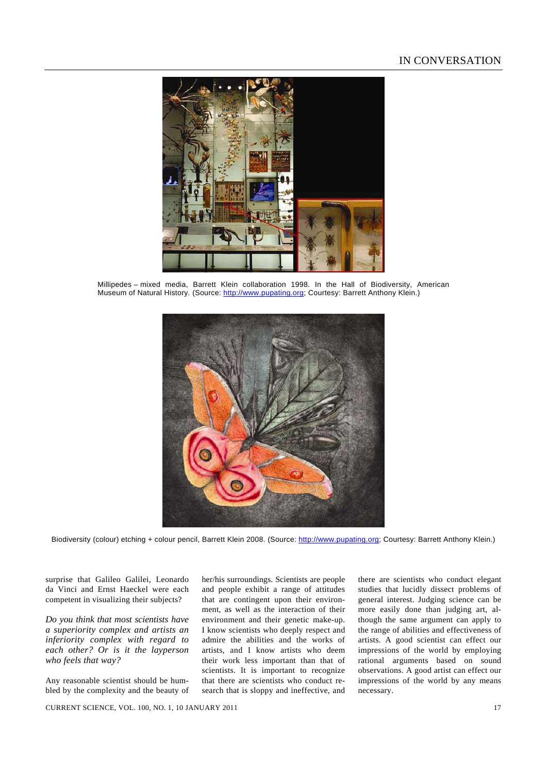

Millipedes – mixed media, Barrett Klein collaboration 1998. In the Hall of Biodiversity, American Museum of Natural History. (Source: http://www.pupating.org; Courtesy: Barrett Anthony Klein.)



Biodiversity (colour) etching + colour pencil, Barrett Klein 2008. (Source: http://www.pupating.org; Courtesy: Barrett Anthony Klein.)

surprise that Galileo Galilei, Leonardo da Vinci and Ernst Haeckel were each competent in visualizing their subjects?

*Do you think that most scientists have a superiority complex and artists an inferiority complex with regard to each other? Or is it the layperson who feels that way?*

Any reasonable scientist should be humbled by the complexity and the beauty of her/his surroundings. Scientists are people and people exhibit a range of attitudes that are contingent upon their environment, as well as the interaction of their environment and their genetic make-up. I know scientists who deeply respect and admire the abilities and the works of artists, and I know artists who deem their work less important than that of scientists. It is important to recognize that there are scientists who conduct research that is sloppy and ineffective, and there are scientists who conduct elegant studies that lucidly dissect problems of general interest. Judging science can be more easily done than judging art, although the same argument can apply to the range of abilities and effectiveness of artists. A good scientist can effect our impressions of the world by employing rational arguments based on sound observations. A good artist can effect our impressions of the world by any means necessary.